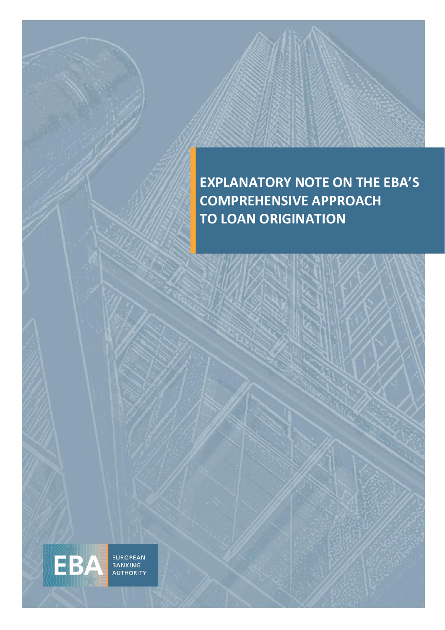

EUROPEAN<br>BANKING<br>AUTHORITY

EBA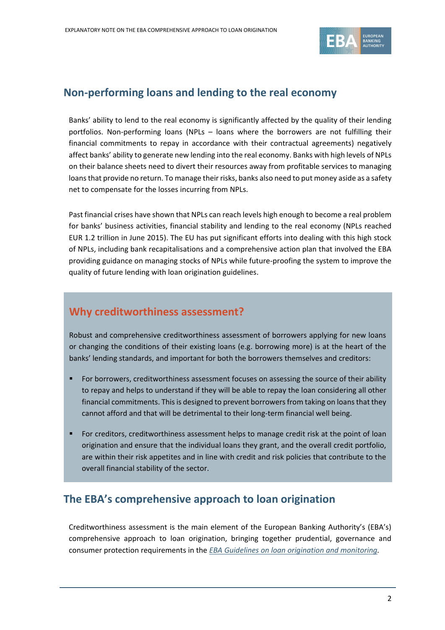

## **Non-performing loans and lending to the real economy**

Banks' ability to lend to the real economy is significantly affected by the quality of their lending portfolios. Non-performing loans (NPLs – loans where the borrowers are not fulfilling their financial commitments to repay in accordance with their contractual agreements) negatively affect banks' ability to generate new lending into the real economy. Banks with high levels of NPLs on their balance sheets need to divert their resources away from profitable services to managing loans that provide no return. To manage their risks, banks also need to put money aside as a safety net to compensate for the losses incurring from NPLs.

Past financial crises have shown that NPLs can reach levels high enough to become a real problem for banks' business activities, financial stability and lending to the real economy (NPLs reached EUR 1.2 trillion in June 2015). The EU has put significant efforts into dealing with this high stock of NPLs, including bank recapitalisations and a comprehensive action plan that involved the EBA providing guidance on managing stocks of NPLs while future-proofing the system to improve the quality of future lending with loan origination guidelines.

## **Why creditworthiness assessment?**

Robust and comprehensive creditworthiness assessment of borrowers applying for new loans or changing the conditions of their existing loans (e.g. borrowing more) is at the heart of the banks' lending standards, and important for both the borrowers themselves and creditors:

- For borrowers, creditworthiness assessment focuses on assessing the source of their ability to repay and helps to understand if they will be able to repay the loan considering all other financial commitments. This is designed to prevent borrowers from taking on loans that they cannot afford and that will be detrimental to their long-term financial well being.
- For creditors, creditworthiness assessment helps to manage credit risk at the point of loan origination and ensure that the individual loans they grant, and the overall credit portfolio, are within their risk appetites and in line with credit and risk policies that contribute to the overall financial stability of the sector.

## **The EBA's comprehensive approach to loan origination**

Creditworthiness assessment is the main element of the European Banking Authority's (EBA's) comprehensive approach to loan origination, bringing together prudential, governance and consumer protection requirements in the *[EBA Guidelines on loan origination and monitoring.](https://eba.europa.eu/regulation-and-policy/credit-risk/guidelines-on-loan-origination-and-monitoring)*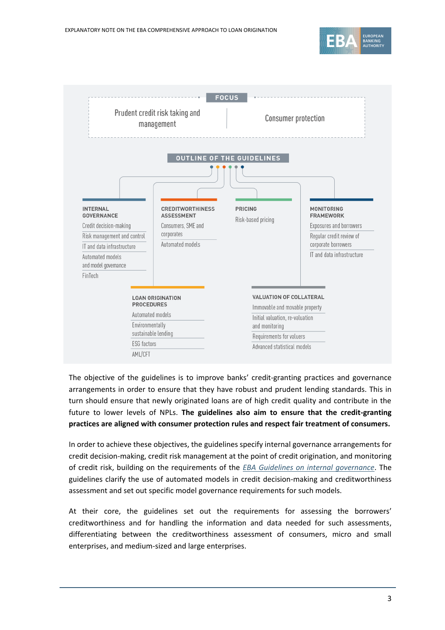



The objective of the guidelines is to improve banks' credit-granting practices and governance arrangements in order to ensure that they have robust and prudent lending standards. This in turn should ensure that newly originated loans are of high credit quality and contribute in the future to lower levels of NPLs. **The guidelines also aim to ensure that the credit-granting practices are aligned with consumer protection rules and respect fair treatment of consumers.**

In order to achieve these objectives, the guidelines specify internal governance arrangements for credit decision-making, credit risk management at the point of credit origination, and monitoring of credit risk, building on the requirements of the *[EBA Guidelines on internal governance](https://eba.europa.eu/regulation-and-policy/internal-governance/guidelines-on-internal-governance-revised-)*. The guidelines clarify the use of automated models in credit decision-making and creditworthiness assessment and set out specific model governance requirements for such models.

At their core, the guidelines set out the requirements for assessing the borrowers' creditworthiness and for handling the information and data needed for such assessments, differentiating between the creditworthiness assessment of consumers, micro and small enterprises, and medium-sized and large enterprises.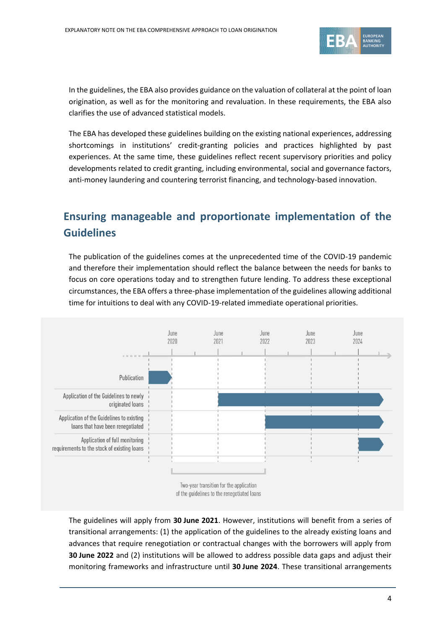

In the guidelines, the EBA also provides guidance on the valuation of collateral at the point of loan origination, as well as for the monitoring and revaluation. In these requirements, the EBA also clarifies the use of advanced statistical models.

The EBA has developed these guidelines building on the existing national experiences, addressing shortcomings in institutions' credit-granting policies and practices highlighted by past experiences. At the same time, these guidelines reflect recent supervisory priorities and policy developments related to credit granting, including environmental, social and governance factors, anti-money laundering and countering terrorist financing, and technology-based innovation.

# **Ensuring manageable and proportionate implementation of the Guidelines**

The publication of the guidelines comes at the unprecedented time of the COVID-19 pandemic and therefore their implementation should reflect the balance between the needs for banks to focus on core operations today and to strengthen future lending. To address these exceptional circumstances, the EBA offers a three-phase implementation of the guidelines allowing additional time for intuitions to deal with any COVID-19-related immediate operational priorities.



The guidelines will apply from **30 June 2021**. However, institutions will benefit from a series of transitional arrangements: (1) the application of the guidelines to the already existing loans and advances that require renegotiation or contractual changes with the borrowers will apply from **30 June 2022** and (2) institutions will be allowed to address possible data gaps and adjust their monitoring frameworks and infrastructure until **30 June 2024**. These transitional arrangements